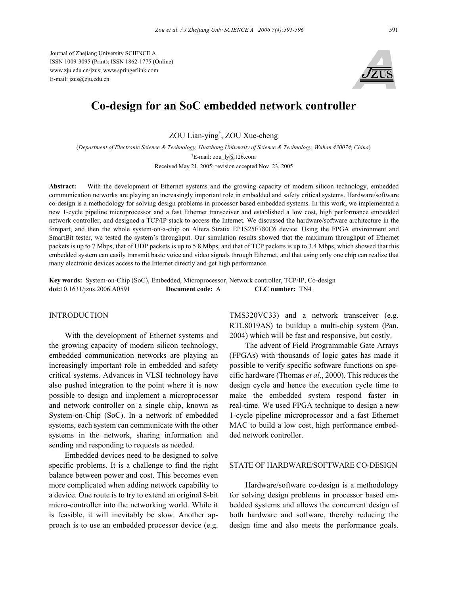Journal of Zhejiang University SCIENCE A ISSN 1009-3095 (Print); ISSN 1862-1775 (Online) www.zju.edu.cn/jzus; www.springerlink.com E-mail: jzus@zju.edu.cn



# **Co-design for an SoC embedded network controller**

ZOU Lian-ying† , ZOU Xue-cheng

(*Department of Electronic Science & Technology, Huazhong University of Science & Technology, Wuhan 430074, China*) † E-mail: zou\_ly@126.com

Received May 21, 2005; revision accepted Nov. 23, 2005

**Abstract:** With the development of Ethernet systems and the growing capacity of modern silicon technology, embedded communication networks are playing an increasingly important role in embedded and safety critical systems. Hardware/software co-design is a methodology for solving design problems in processor based embedded systems. In this work, we implemented a new 1-cycle pipeline microprocessor and a fast Ethernet transceiver and established a low cost, high performance embedded network controller, and designed a TCP/IP stack to access the Internet. We discussed the hardware/software architecture in the forepart, and then the whole system-on-a-chip on Altera Stratix EP1S25F780C6 device. Using the FPGA environment and SmartBit tester, we tested the system's throughput. Our simulation results showed that the maximum throughput of Ethernet packets is up to 7 Mbps, that of UDP packets is up to 5.8 Mbps, and that of TCP packets is up to 3.4 Mbps, which showed that this embedded system can easily transmit basic voice and video signals through Ethernet, and that using only one chip can realize that many electronic devices access to the Internet directly and get high performance.

**Key words:** System-on-Chip (SoC), Embedded, Microprocessor, Network controller, TCP/IP, Co-design **doi:**10.1631/jzus.2006.A0591 **Document code:** A **CLC number:** TN4

## INTRODUCTION

With the development of Ethernet systems and the growing capacity of modern silicon technology, embedded communication networks are playing an increasingly important role in embedded and safety critical systems. Advances in VLSI technology have also pushed integration to the point where it is now possible to design and implement a microprocessor and network controller on a single chip, known as System-on-Chip (SoC). In a network of embedded systems, each system can communicate with the other systems in the network, sharing information and sending and responding to requests as needed.

Embedded devices need to be designed to solve specific problems. It is a challenge to find the right balance between power and cost. This becomes even more complicated when adding network capability to a device. One route is to try to extend an original 8-bit micro-controller into the networking world. While it is feasible, it will inevitably be slow. Another approach is to use an embedded processor device (e.g. TMS320VC33) and a network transceiver (e.g. RTL8019AS) to buildup a multi-chip system (Pan, 2004) which will be fast and responsive, but costly.

The advent of Field Programmable Gate Arrays (FPGAs) with thousands of logic gates has made it possible to verify specific software functions on specific hardware (Thomas *et al*., 2000). This reduces the design cycle and hence the execution cycle time to make the embedded system respond faster in real-time. We used FPGA technique to design a new 1-cycle pipeline microprocessor and a fast Ethernet MAC to build a low cost, high performance embedded network controller.

## STATE OF HARDWARE/SOFTWARE CO-DESIGN

Hardware/software co-design is a methodology for solving design problems in processor based embedded systems and allows the concurrent design of both hardware and software, thereby reducing the design time and also meets the performance goals.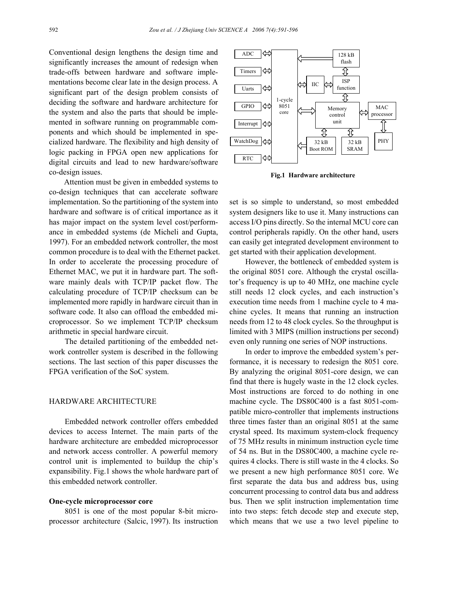Conventional design lengthens the design time and significantly increases the amount of redesign when trade-offs between hardware and software implementations become clear late in the design process. A significant part of the design problem consists of deciding the software and hardware architecture for the system and also the parts that should be implemented in software running on programmable components and which should be implemented in specialized hardware. The flexibility and high density of logic packing in FPGA open new applications for digital circuits and lead to new hardware/software co-design issues.

Attention must be given in embedded systems to co-design techniques that can accelerate software implementation. So the partitioning of the system into hardware and software is of critical importance as it has major impact on the system level cost/performance in embedded systems (de Micheli and Gupta, 1997). For an embedded network controller, the most common procedure is to deal with the Ethernet packet. In order to accelerate the processing procedure of Ethernet MAC, we put it in hardware part. The software mainly deals with TCP/IP packet flow. The calculating procedure of TCP/IP checksum can be implemented more rapidly in hardware circuit than in software code. It also can offload the embedded microprocessor. So we implement TCP/IP checksum arithmetic in special hardware circuit.

The detailed partitioning of the embedded network controller system is described in the following sections. The last section of this paper discusses the FPGA verification of the SoC system.

# HARDWARE ARCHITECTURE

Embedded network controller offers embedded devices to access Internet. The main parts of the hardware architecture are embedded microprocessor and network access controller. A powerful memory control unit is implemented to buildup the chip's expansibility. Fig.1 shows the whole hardware part of this embedded network controller.

## **One-cycle microprocessor core**

8051 is one of the most popular 8-bit microprocessor architecture (Salcic, 1997). Its instruction



**Fig.1 Hardware architecture**

set is so simple to understand, so most embedded system designers like to use it. Many instructions can access I/O pins directly. So the internal MCU core can control peripherals rapidly. On the other hand, users can easily get integrated development environment to get started with their application development.

However, the bottleneck of embedded system is the original 8051 core. Although the crystal oscillator's frequency is up to 40 MHz, one machine cycle still needs 12 clock cycles, and each instruction's execution time needs from 1 machine cycle to 4 machine cycles. It means that running an instruction needs from 12 to 48 clock cycles. So the throughput is limited with 3 MIPS (million instructions per second) even only running one series of NOP instructions.

In order to improve the embedded system's performance, it is necessary to redesign the 8051 core. By analyzing the original 8051-core design, we can find that there is hugely waste in the 12 clock cycles. Most instructions are forced to do nothing in one machine cycle. The DS80C400 is a fast 8051-compatible micro-controller that implements instructions three times faster than an original 8051 at the same crystal speed. Its maximum system-clock frequency of 75 MHz results in minimum instruction cycle time of 54 ns. But in the DS80C400, a machine cycle requires 4 clocks. There is still waste in the 4 clocks. So we present a new high performance 8051 core. We first separate the data bus and address bus, using concurrent processing to control data bus and address bus. Then we split instruction implementation time into two steps: fetch decode step and execute step, which means that we use a two level pipeline to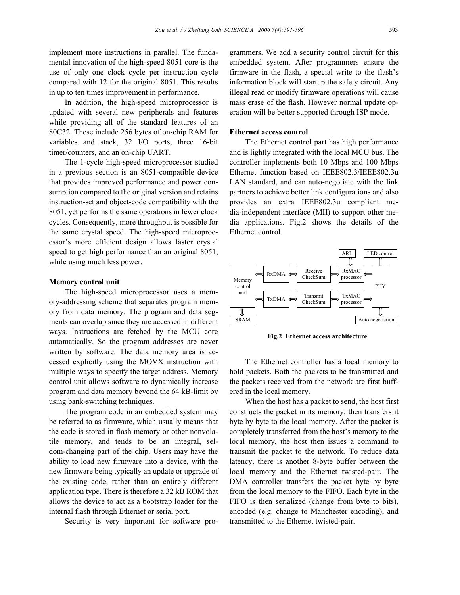implement more instructions in parallel. The fundamental innovation of the high-speed 8051 core is the use of only one clock cycle per instruction cycle compared with 12 for the original 8051. This results in up to ten times improvement in performance.

In addition, the high-speed microprocessor is updated with several new peripherals and features while providing all of the standard features of an 80C32. These include 256 bytes of on-chip RAM for variables and stack, 32 I/O ports, three 16-bit timer/counters, and an on-chip UART.

The 1-cycle high-speed microprocessor studied in a previous section is an 8051-compatible device that provides improved performance and power consumption compared to the original version and retains instruction-set and object-code compatibility with the 8051, yet performs the same operations in fewer clock cycles. Consequently, more throughput is possible for the same crystal speed. The high-speed microprocessor's more efficient design allows faster crystal speed to get high performance than an original 8051, while using much less power.

### **Memory control unit**

The high-speed microprocessor uses a memory-addressing scheme that separates program memory from data memory. The program and data segments can overlap since they are accessed in different ways. Instructions are fetched by the MCU core automatically. So the program addresses are never written by software. The data memory area is accessed explicitly using the MOVX instruction with multiple ways to specify the target address. Memory control unit allows software to dynamically increase program and data memory beyond the 64 kB-limit by using bank-switching techniques.

The program code in an embedded system may be referred to as firmware, which usually means that the code is stored in flash memory or other nonvolatile memory, and tends to be an integral, seldom-changing part of the chip. Users may have the ability to load new firmware into a device, with the new firmware being typically an update or upgrade of the existing code, rather than an entirely different application type. There is therefore a 32 kB ROM that allows the device to act as a bootstrap loader for the internal flash through Ethernet or serial port.

Security is very important for software pro-

grammers. We add a security control circuit for this embedded system. After programmers ensure the firmware in the flash, a special write to the flash's information block will startup the safety circuit. Any illegal read or modify firmware operations will cause mass erase of the flash. However normal update operation will be better supported through ISP mode.

### **Ethernet access control**

The Ethernet control part has high performance and is lightly integrated with the local MCU bus. The controller implements both 10 Mbps and 100 Mbps Ethernet function based on IEEE802.3/IEEE802.3u LAN standard, and can auto-negotiate with the link partners to achieve better link configurations and also provides an extra IEEE802.3u compliant media-independent interface (MII) to support other media applications. Fig.2 shows the details of the Ethernet control.



**Fig.2 Ethernet access architecture**

The Ethernet controller has a local memory to hold packets. Both the packets to be transmitted and the packets received from the network are first buffered in the local memory.

When the host has a packet to send, the host first constructs the packet in its memory, then transfers it byte by byte to the local memory. After the packet is completely transferred from the host's memory to the local memory, the host then issues a command to transmit the packet to the network. To reduce data latency, there is another 8-byte buffer between the local memory and the Ethernet twisted-pair. The DMA controller transfers the packet byte by byte from the local memory to the FIFO. Each byte in the FIFO is then serialized (change from byte to bits), encoded (e.g. change to Manchester encoding), and transmitted to the Ethernet twisted-pair.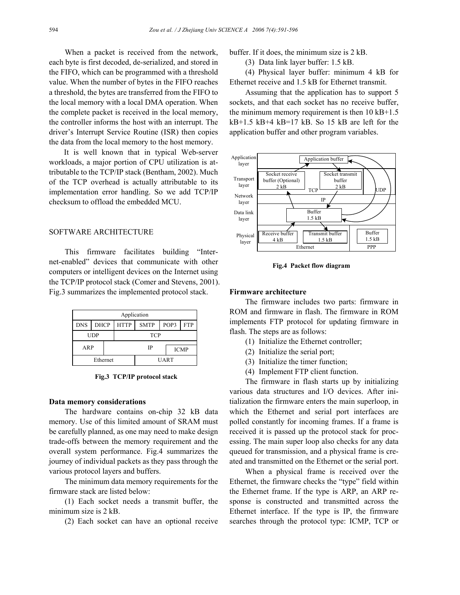When a packet is received from the network, each byte is first decoded, de-serialized, and stored in the FIFO, which can be programmed with a threshold value. When the number of bytes in the FIFO reaches a threshold, the bytes are transferred from the FIFO to the local memory with a local DMA operation. When the complete packet is received in the local memory, the controller informs the host with an interrupt. The driver's Interrupt Service Routine (ISR) then copies the data from the local memory to the host memory.

It is well known that in typical Web-server workloads, a major portion of CPU utilization is attributable to the TCP/IP stack (Bentham, 2002). Much of the TCP overhead is actually attributable to its implementation error handling. So we add TCP/IP checksum to offload the embedded MCU.

# SOFTWARE ARCHITECTURE

This firmware facilitates building "Internet-enabled" devices that communicate with other computers or intelligent devices on the Internet using the TCP/IP protocol stack (Comer and Stevens, 2001). Fig.3 summarizes the implemented protocol stack.

| Application |             |  |                   |             |      |  |            |
|-------------|-------------|--|-------------------|-------------|------|--|------------|
| <b>DNS</b>  | <b>DHCP</b> |  | <b>HTTP</b>       | <b>SMTP</b> | POP3 |  | <b>FTP</b> |
| UDP         |             |  | <b>TCP</b>        |             |      |  |            |
| ARP         |             |  | ΙP<br><b>ICMP</b> |             |      |  |            |
| Ethernet    |             |  |                   | UART        |      |  |            |

**Fig.3 TCP/IP protocol stack**

# **Data memory considerations**

The hardware contains on-chip 32 kB data memory. Use of this limited amount of SRAM must be carefully planned, as one may need to make design trade-offs between the memory requirement and the overall system performance. Fig.4 summarizes the journey of individual packets as they pass through the various protocol layers and buffers.

The minimum data memory requirements for the firmware stack are listed below:

(1) Each socket needs a transmit buffer, the minimum size is 2 kB.

(2) Each socket can have an optional receive

buffer. If it does, the minimum size is 2 kB.

(3) Data link layer buffer: 1.5 kB.

(4) Physical layer buffer: minimum 4 kB for Ethernet receive and 1.5 kB for Ethernet transmit.

Assuming that the application has to support 5 sockets, and that each socket has no receive buffer, the minimum memory requirement is then 10 kB+1.5  $kB+1.5 kB+4 kB=17 kB.$  So 15 kB are left for the application buffer and other program variables.



**Fig.4 Packet flow diagram**

## **Firmware architecture**

The firmware includes two parts: firmware in ROM and firmware in flash. The firmware in ROM implements FTP protocol for updating firmware in flash. The steps are as follows:

- (1) Initialize the Ethernet controller;
- (2) Initialize the serial port;
- (3) Initialize the timer function;
- (4) Implement FTP client function.

The firmware in flash starts up by initializing various data structures and I/O devices. After initialization the firmware enters the main superloop, in which the Ethernet and serial port interfaces are polled constantly for incoming frames. If a frame is received it is passed up the protocol stack for processing. The main super loop also checks for any data queued for transmission, and a physical frame is created and transmitted on the Ethernet or the serial port.

When a physical frame is received over the Ethernet, the firmware checks the "type" field within the Ethernet frame. If the type is ARP, an ARP response is constructed and transmitted across the Ethernet interface. If the type is IP, the firmware searches through the protocol type: ICMP, TCP or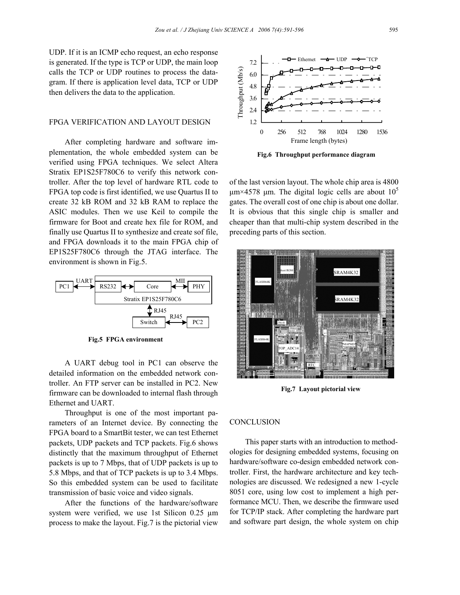UDP. If it is an ICMP echo request, an echo response is generated. If the type is TCP or UDP, the main loop calls the TCP or UDP routines to process the datagram. If there is application level data, TCP or UDP then delivers the data to the application.

## FPGA VERIFICATION AND LAYOUT DESIGN

After completing hardware and software implementation, the whole embedded system can be verified using FPGA techniques. We select Altera Stratix EP1S25F780C6 to verify this network controller. After the top level of hardware RTL code to FPGA top code is first identified, we use Quartus II to create 32 kB ROM and 32 kB RAM to replace the ASIC modules. Then we use Keil to compile the firmware for Boot and create hex file for ROM, and finally use Quartus II to synthesize and create sof file, and FPGA downloads it to the main FPGA chip of EP1S25F780C6 through the JTAG interface. The environment is shown in Fig.5.



**Fig.5 FPGA environment**

A UART debug tool in PC1 can observe the detailed information on the embedded network controller. An FTP server can be installed in PC2. New firmware can be downloaded to internal flash through Ethernet and UART.

Throughput is one of the most important parameters of an Internet device. By connecting the FPGA board to a SmartBit tester, we can test Ethernet packets, UDP packets and TCP packets. Fig.6 shows distinctly that the maximum throughput of Ethernet packets is up to 7 Mbps, that of UDP packets is up to 5.8 Mbps, and that of TCP packets is up to 3.4 Mbps. So this embedded system can be used to facilitate transmission of basic voice and video signals.

After the functions of the hardware/software system were verified, we use 1st Silicon 0.25  $\mu$ m process to make the layout. Fig.7 is the pictorial view



**Fig.6 Throughput performance diagram**

of the last version layout. The whole chip area is 4800  $\mu$ m×4578  $\mu$ m. The digital logic cells are about 10<sup>5</sup> gates. The overall cost of one chip is about one dollar. It is obvious that this single chip is smaller and cheaper than that multi-chip system described in the preceding parts of this section.



**Fig.7 Layout pictorial view**

# **CONCLUSION**

This paper starts with an introduction to methodologies for designing embedded systems, focusing on hardware/software co-design embedded network controller. First, the hardware architecture and key technologies are discussed. We redesigned a new 1-cycle 8051 core, using low cost to implement a high performance MCU. Then, we describe the firmware used for TCP/IP stack. After completing the hardware part and software part design, the whole system on chip